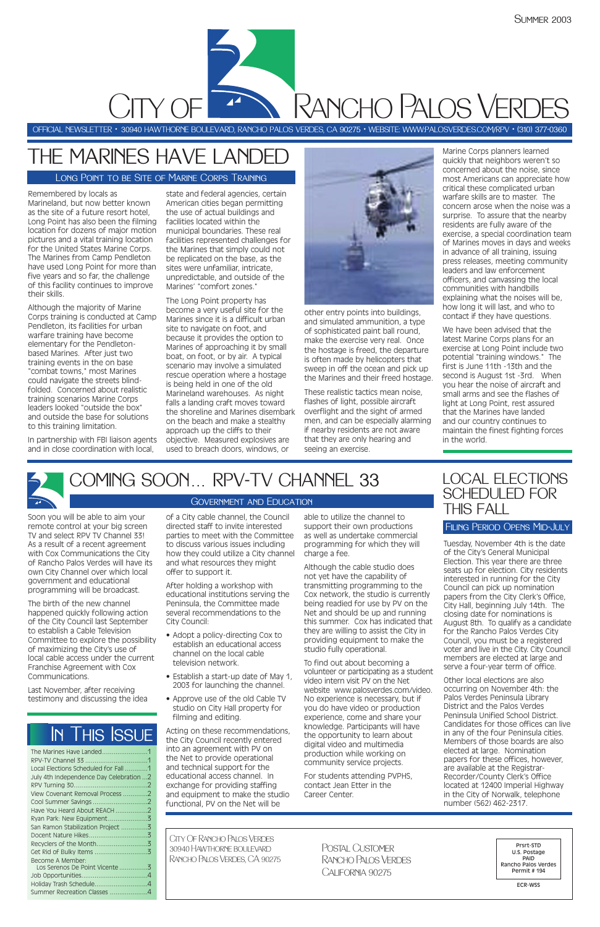Remembered by locals as Marineland, but now better known as the site of a future resort hotel, Long Point has also been the filming location for dozens of major motion pictures and a vital training location for the United States Marine Corps. The Marines from Camp Pendleton have used Long Point for more than five years and so far, the challenge of this facility continues to improve their skills.

Although the majority of Marine Corps training is conducted at Camp Pendleton, its facilities for urban warfare training have become elementary for the Pendletonbased Marines. After just two training events in the on base "combat towns," most Marines could navigate the streets blindfolded. Concerned about realistic training scenarios Marine Corps leaders looked "outside the box" and outside the base for solutions to this training limitation.

In partnership with FBI liaison agents and in close coordination with local,

state and federal agencies, certain American cities began permitting the use of actual buildings and facilities located within the municipal boundaries. These real facilities represented challenges for the Marines that simply could not be replicated on the base, as the sites were unfamiliar, intricate, unpredictable, and outside of the Marines' "comfort zones."

The Long Point property has become a very useful site for the Marines since it is a difficult urban site to navigate on foot, and because it provides the option to Marines of approaching it by small boat, on foot, or by air. A typical scenario may involve a simulated rescue operation where a hostage is being held in one of the old Marineland warehouses. As night falls a landing craft moves toward the shoreline and Marines disembark on the beach and make a stealthy approach up the cliffs to their objective. Measured explosives are used to breach doors, windows, or



other entry points into buildings, and simulated ammunition, a type of sophisticated paint ball round, make the exercise very real. Once the hostage is freed, the departure is often made by helicopters that sweep in off the ocean and pick up the Marines and their freed hostage.

These realistic tactics mean noise, flashes of light, possible aircraft overflight and the sight of armed men, and can be especially alarming if nearby residents are not aware that they are only hearing and seeing an exercise.

Marine Corps planners learned quickly that neighbors weren't so concerned about the noise, since most Americans can appreciate how critical these complicated urban warfare skills are to master. The concern arose when the noise was a surprise. To assure that the nearby residents are fully aware of the exercise, a special coordination team of Marines moves in days and weeks in advance of all training, issuing press releases, meeting community leaders and law enforcement officers, and canvassing the local communities with handbills explaining what the noises will be, how long it will last, and who to contact if they have questions.

Postal Customer Rancho Palos Verdes CAI **FORNIA 90275** 

We have been advised that the latest Marine Corps plans for an exercise at Long Point include two potential "training windows." The first is June 11th -13th and the second is August 1st -3rd. When you hear the noise of aircraft and small arms and see the flashes of light at Long Point, rest assured that the Marines have landed and our country continues to maintain the finest fighting forces in the world.



# THE MARINES HAVE LANDED

Long Point to be Site of Marine Corps Training

OFFICIAL NEWSLETTER • 30940 HAWTHORNE BOULEVARD, RANCHO PALOS VERDES, CA 90275 • WEBSITE: WWW:PALOSVERDES.COM/RPV • (310) 377-0360

**PANCHO PALOS VERDES** 

Soon you will be able to aim your remote control at your big screen TV and select RPV TV Channel 33! As a result of a recent agreement with Cox Communications the City of Rancho Palos Verdes will have its own City Channel over which local government and educational programming will be broadcast.

The birth of the new channel happened quickly following action of the City Council last September to establish a Cable Television Committee to explore the possibility of maximizing the City's use of local cable access under the current Franchise Agreement with Cox Communications.

Last November, after receiving testimony and discussing the idea

of a City cable channel, the Council directed staff to invite interested parties to meet with the Committee to discuss various issues including how they could utilize a City channel and what resources they might offer to support it.

After holding a workshop with educational institutions serving the Peninsula, the Committee made several recommendations to the City Council:

- Adopt a policy-directing Cox to establish an educational access channel on the local cable television network.
- Establish a start-up date of May 1,

2003 for launching the channel.

• Approve use of the old Cable TV studio on City Hall property for filming and editing.

Acting on these recommendations, the City Council recently entered into an agreement with PV on the Net to provide operational and technical support for the educational access channel. In exchange for providing staffing and equipment to make the studio functional, PV on the Net will be

able to utilize the channel to support their own productions as well as undertake commercial programming for which they will charge a fee.

Although the cable studio does not yet have the capability of transmitting programming to the Cox network, the studio is currently being readied for use by PV on the Net and should be up and running this summer. Cox has indicated that they are willing to assist the City in providing equipment to make the studio fully operational.

To find out about becoming a volunteer or participating as a student video intern visit PV on the Net website www.palosverdes.com/video. No experience is necessary, but if you do have video or production experience, come and share your knowledge. Participants will have the opportunity to learn about digital video and multimedia production while working on community service projects.

For students attending PVPHS, contact Jean Etter in the Career Center.

City Of Rancho Palos Verdes 30940 Hawthorne boulevard Rancho Palos Verdes, CA 90275

Prsrt-STD U.S. Postage PAID Rancho Palos Verdes Permit # 194

ECR-WSS

## COMING SOON... RPV-TV CHANNEL 33 Government and Education

| Local Elections Scheduled for Fall 1     |
|------------------------------------------|
| July 4th Independence Day Celebration  2 |
|                                          |
| View Covenant Removal Process 2          |
|                                          |
| Have You Heard About REACH 2             |
|                                          |
| San Ramon Stabilization Project 3        |
|                                          |
|                                          |
|                                          |
| Become A Member:                         |
| Los Serenos De Point Vicente 3           |
|                                          |
|                                          |
| Summer Recreation Classes 4              |

# In This Issue

Tuesday, November 4th is the date of the City's General Municipal Election. This year there are three seats up for election. City residents interested in running for the City Council can pick up nomination papers from the City Clerk's Office, City Hall, beginning July 14th. The closing date for nominations is August 8th. To qualify as a candidate for the Rancho Palos Verdes City Council, you must be a registered voter and live in the City. City Council members are elected at large and serve a four-year term of office.

Other local elections are also occurring on November 4th: the Palos Verdes Peninsula Library District and the Palos Verdes Peninsula Unified School District. Candidates for those offices can live in any of the four Peninsula cities. Members of those boards are also elected at large. Nomination papers for these offices, however, are available at the Registrar-Recorder/County Clerk's Office located at 12400 Imperial Highway in the City of Norwalk, telephone number (562) 462-2317.

### LOCAL ELECTIONS SCHEDULED FOR THIS FALL

#### Filing Period Opens Mid-July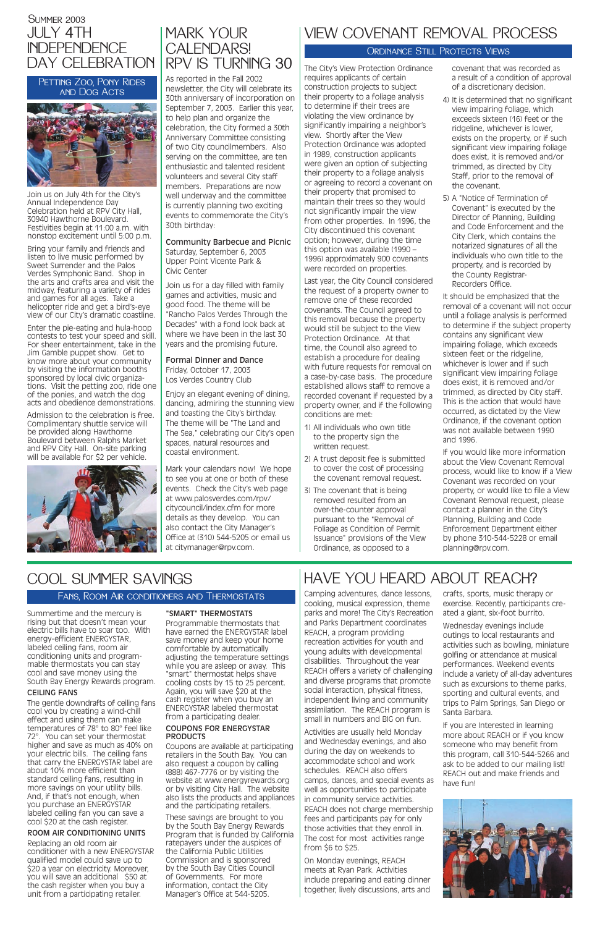The City's View Protection Ordinance requires applicants of certain construction projects to subject their property to a foliage analysis to determine if their trees are violating the view ordinance by significantly impairing a neighbor's view. Shortly after the View Protection Ordinance was adopted in 1989, construction applicants were given an option of subjecting their property to a foliage analysis or agreeing to record a covenant on their property that promised to maintain their trees so they would not significantly impair the view from other properties. In 1996, the City discontinued this covenant option; however, during the time this option was available (1990 – 1996) approximately 900 covenants were recorded on properties.

Last year, the City Council considered the request of a property owner to remove one of these recorded covenants. The Council agreed to this removal because the property would still be subject to the View Protection Ordinance. At that time, the Council also agreed to establish a procedure for dealing with future requests for removal on a case-by-case basis. The procedure established allows staff to remove a recorded covenant if requested by a property owner, and if the following conditions are met:

- 1) All individuals who own title to the property sign the written request.
- 2) A trust deposit fee is submitted to cover the cost of processing the covenant removal request.
- 3) The covenant that is being removed resulted from an over-the-counter approval pursuant to the "Removal of Foliage as Condition of Permit Issuance" provisions of the View Ordinance, as opposed to a

covenant that was recorded as a result of a condition of approval of a discretionary decision.

- 4) It is determined that no significant view impairing foliage, which exceeds sixteen (16) feet or the ridgeline, whichever is lower, exists on the property, or if such significant view impairing foliage does exist, it is removed and/or trimmed, as directed by City Staff, prior to the removal of the covenant.
- 5) A "Notice of Termination of Covenant" is executed by the Director of Planning, Building and Code Enforcement and the City Clerk, which contains the notarized signatures of all the individuals who own title to the property, and is recorded by the County Registrar-Recorders Office.

It should be emphasized that the removal of a covenant will not occur until a foliage analysis is performed to determine if the subject property contains any significant view impairing foliage, which exceeds sixteen feet or the ridgeline, whichever is lower and if such significant view impairing foliage does exist, it is removed and/or trimmed, as directed by City staff. This is the action that would have occurred, as dictated by the View Ordinance, if the covenant option was not available between 1990 and 1996.

If you would like more information about the View Covenant Removal process, would like to know if a View Covenant was recorded on your property, or would like to file a View Covenant Removal request, please contact a planner in the City's Planning, Building and Code Enforcement Department either by phone 310-544-5228 or email planning@rpv.com.

### **SUMMER 2003** JULY 4TH INDEPENDENCE DAY CELEBRATION

PETTING ZOO, PONY RIDES and Dog Acts



### MARK YOUR CALENDARS! RPV IS TURNING 30

## VIEW COVENANT REMOVAL PROCESS

### ORDINANCE STILL PROTECTS VIEWS

Camping adventures, dance lessons, cooking, musical expression, theme parks and more! The City's Recreation and Parks Department coordinates REACH, a program providing recreation activities for youth and young adults with developmental disabilities. Throughout the year REACH offers a variety of challenging and diverse programs that promote social interaction, physical fitness, independent living and community assimilation. The REACH program is small in numbers and BIG on fun. Activities are usually held Monday and Wednesday evenings, and also during the day on weekends to accommodate school and work schedules. REACH also offers camps, dances, and special events as well as opportunities to participate in community service activities. REACH does not charge membership fees and participants pay for only those activities that they enroll in. The cost for most activities range from \$6 to \$25.

On Monday evenings, REACH meets at Ryan Park. Activities include preparing and eating dinner together, lively discussions, arts and crafts, sports, music therapy or exercise. Recently, participants created a giant, six-foot burrito.

Wednesday evenings include outings to local restaurants and activities such as bowling, miniature golfing or attendance at musical performances. Weekend events include a variety of all-day adventures such as excursions to theme parks, sporting and cultural events, and trips to Palm Springs, San Diego or Santa Barbara.

If you are Interested in learning more about REACH or if you know someone who may benefit from this program, call 310-544-5266 and ask to be added to our mailing list! REACH out and make friends and have fun!



# HAVE YOU HEARD ABOUT REACH?

Join us on July 4th for the City's Annual Independence Day Celebration held at RPV City Hall, 30940 Hawthorne Boulevard. Festivities begin at 11:00 a.m. with nonstop excitement until 5:00 p.m.

Bring your family and friends and listen to live music performed by Sweet Surrender and the Palos Verdes Symphonic Band. Shop in the arts and crafts area and visit the midway, featuring a variety of rides and games for all ages. Take a helicopter ride and get a bird's-eye view of our City's dramatic coastline.

Enter the pie-eating and hula-hoop contests to test your speed and skill. For sheer entertainment, take in the Jim Gamble puppet show. Get to know more about your community by visiting the information booths sponsored by local civic organizations. Visit the petting zoo, ride one of the ponies, and watch the dog acts and obedience demonstrations.

Admission to the celebration is free. Complimentary shuttle service will be provided along Hawthorne Boulevard between Ralphs Market and RPV City Hall. On-site parking will be available for \$2 per vehicle.



As reported in the Fall 2002 newsletter, the City will celebrate its 30th anniversary of incorporation on September 7, 2003. Earlier this year, to help plan and organize the celebration, the City formed a 30th Anniversary Committee consisting of two City councilmembers. Also serving on the committee, are ten enthusiastic and talented resident volunteers and several City staff members. Preparations are now well underway and the committee is currently planning two exciting events to commemorate the City's 30th birthday:

Community Barbecue and Picnic Saturday, September 6, 2003 Upper Point Vicente Park & Civic Center

Join us for a day filled with family games and activities, music and good food. The theme will be "Rancho Palos Verdes Through the Decades" with a fond look back at where we have been in the last 30 years and the promising future.

Formal Dinner and Dance Friday, October 17, 2003 Los Verdes Country Club

Enjoy an elegant evening of dining, dancing, admiring the stunning view and toasting the City's birthday. The theme will be "The Land and The Sea," celebrating our City's open spaces, natural resources and coastal environment.

Mark your calendars now! We hope to see you at one or both of these events. Check the City's web page at www.palosverdes.com/rpv/ citycouncil/index.cfm for more details as they develop. You can also contact the City Manager's Office at (310) 544-5205 or email us at citymanager@rpv.com.

Summertime and the mercury is rising but that doesn't mean your electric bills have to soar too. With energy-efficient ENERGYSTAR' labeled ceiling fans, room air conditioning units and programmable thermostats you can stay cool and save money using the

South Bay Energy Rewards program.

#### CEILING FANS

The gentle downdrafts of ceiling fans cool you by creating a wind-chill effect and using them can make temperatures of 78° to 80° feel like 72°. You can set your thermostat higher and save as much as 40% on your electric bills. The ceiling fans that carry the ENERGYSTAR label are about 10% more efficient than standard ceiling fans, resulting in more savings on your utility bills. And, if that's not enough, when you purchase an ENERGYSTAR labeled ceiling fan you can save a cool \$20 at the cash register.

#### ROOM AIR CONDITIONING UNITS

Replacing an old room air conditioner with a new ENERGYSTAR qualified model could save up to \$20 a year on electricity. Moreover, you will save an additional \$50 at the cash register when you buy a unit from a participating retailer.

### "SMART" THERMOSTATS

Programmable thermostats that have earned the ENERGYSTAR label save money and keep your home comfortable by automatically adjusting the temperature settings while you are asleep or away. This "smart" thermostat helps shave cooling costs by 15 to 25 percent. Again, you will save \$20 at the cash register when you buy an ENERGYSTAR labeled thermostat from a participating dealer.

#### COUPONS FOR ENERGYSTAR PRODUCTS

Coupons are available at participating retailers in the South Bay. You can also request a coupon by calling (888) 467-7776 or by visiting the website at www.energyrewards.org or by visiting City Hall. The website also lists the products and appliances and the participating retailers.

These savings are brought to you by the South Bay Energy Rewards Program that is funded by California ratepayers under the auspices of the California Public Utilities Commission and is sponsored by the South Bay Cities Council of Governments. For more information, contact the City Manager's Office at 544-5205.

# COOL SUMMER SAVINGS

### Fans, Room Air conditioners and Thermostats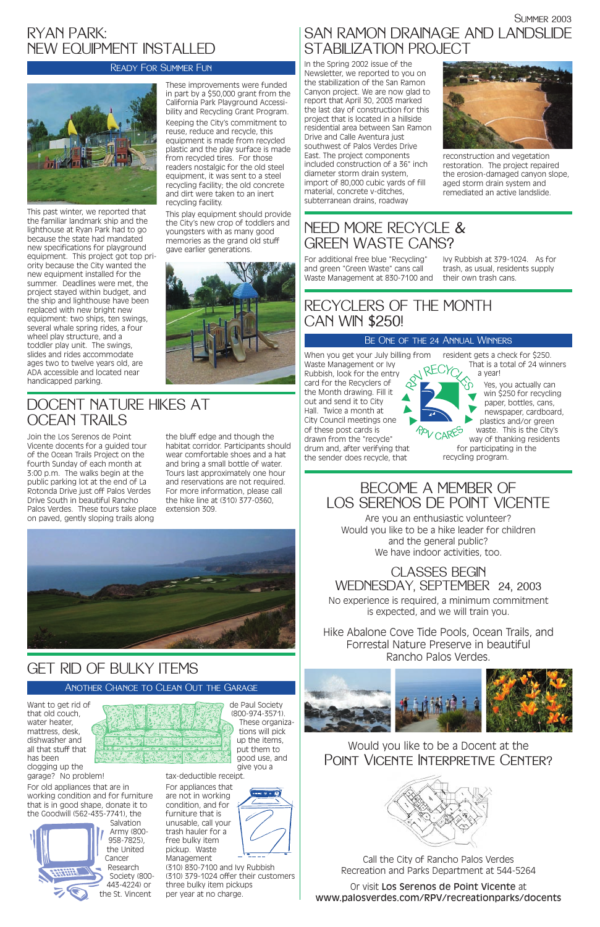This past winter, we reported that the familiar landmark ship and the lighthouse at Ryan Park had to go because the state had mandated new specifications for playground equipment. This project got top priority because the City wanted the new equipment installed for the summer. Deadlines were met, the project stayed within budget, and the ship and lighthouse have been replaced with new bright new equipment: two ships, ten swings, several whale spring rides, a four wheel play structure, and a toddler play unit. The swings, slides and rides accommodate ages two to twelve years old, are ADA accessible and located near handicapped parking.

These improvements were funded in part by a \$50,000 grant from the California Park Playground Accessibility and Recycling Grant Program. Keeping the City's commitment to reuse, reduce and recycle, this equipment is made from recycled plastic and the play surface is made from recycled tires. For those readers nostalgic for the old steel equipment, it was sent to a steel recycling facility; the old concrete and dirt were taken to an inert recycling facility.

READY FOR SUMMER FUN IN THE Spring 2002 issue of the Newsletter, we reported to you on the stabilization of the San Ramon Canyon project. We are now glad to report that April 30, 2003 marked the last day of construction for this project that is located in a hillside residential area between San Ramon Drive and Calle Aventura just southwest of Palos Verdes Drive East. The project components included construction of a 36" inch diameter storm drain system, import of 80,000 cubic yards of fill material, concrete v-ditches, subterranean drains, roadway

> Are you an enthusiastic volunteer? Would you like to be a hike leader for children and the general public? We have indoor activities, too.

This play equipment should provide the City's new crop of toddlers and youngsters with as many good memories as the grand old stuff gave earlier generations.



### Would you like to be a Docent at the POINT VICENTE INTERPRETIVE CENTER?



**SUMMER 2003** 

### RYAN PARK: NEW EQUIPMENT INSTALLED





reconstruction and vegetation restoration. The project repaired the erosion-damaged canyon slope, aged storm drain system and remediated an active landslide.

# SAN RAMON DRAINAGE AND LANDSLIDE STABILIZATION PROJECT

### BECOME A MEMBER OF LOS SERENOS DE POINT VICENTE

When you get your July billing from resident gets a check for \$250. Waste Management or Ivy Rubbish, look for the entry card for the Recyclers of the Month drawing. Fill it out and send it to City Hall. Twice a month at City Council meetings one of these post cards is drawn from the "recycle" drum and, after verifying that the sender does recycle, that ®®®

### CLASSES BEGIN WEDNESDAY, SEPTEMBER 24, 2003

No experience is required, a minimum commitment is expected, and we will train you.

Hike Abalone Cove Tide Pools, Ocean Trails, and Forrestal Nature Preserve in beautiful Rancho Palos Verdes.



Call the City of Rancho Palos Verdes Recreation and Parks Department at 544-5264

Or visit Los Serenos de Point Vicente at www.palosverdes.com/RPV/recreationparks/docents

Want to get rid of that old couch, water heater, mattress, desk, dishwasher and all that stuff that has been clogging up the garage? No problem!

For old appliances that are in working condition and for furniture that is in good shape, donate it to the Goodwill (562-435-7741), the



de Paul Society (800-974-3571). These organizations will pick up the items, put them to good use, and give you a

tax-deductible receipt.

For appliances that Management

are not in working condition, and for furniture that is unusable, call your trash hauler for a free bulky item pickup. Waste

> (310) 830-7100 and Ivy Rubbish (310) 379-1024 offer their customers three bulky item pickups per year at no charge.

### GET RID OF BULKY ITEMS

#### Another Chance to Clean Out the Garage

For additional free blue "Recycling" and green "Green Waste" cans call Waste Management at 830-7100 and their own trash cans.

Ivy Rubbish at 379-1024. As for trash, as usual, residents supply

## NEED MORE RECYCLE & GREEN WASTE CANS?

That is a total of 24 winners a year! Yes, you actually can

win \$250 for recycling paper, bottles, cans, newspaper, cardboard, plastics and/or green waste. This is the City's way of thanking residents for participating in the recycling program.

### RECYCLERS OF THE MONTH CAN WIN \$250!

#### Be One of the 24 Annual Winners



Join the Los Serenos de Point Vicente docents for a guided tour of the Ocean Trails Project on the fourth Sunday of each month at 3:00 p.m. The walks begin at the public parking lot at the end of La Rotonda Drive just off Palos Verdes Drive South in beautiful Rancho Palos Verdes. These tours take place on paved, gently sloping trails along

the bluff edge and though the habitat corridor. Participants should wear comfortable shoes and a hat and bring a small bottle of water. Tours last approximately one hour and reservations are not required. For more information, please call the hike line at (310) 377-0360, extension 309.



### DOCENT NATURE HIKES AT OCEAN TRAILS